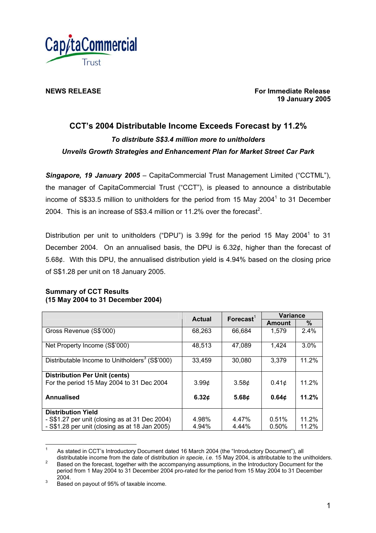

**NEWS RELEASE For Immediate Release 19 January 2005** 

# **CCT's 2004 Distributable Income Exceeds Forecast by 11.2%** *To distribute S\$3.4 million more to unitholders Unveils Growth Strategies and Enhancement Plan for Market Street Car Park*

*Singapore, 19 January 2005* – CapitaCommercial Trust Management Limited ("CCTML"), the manager of CapitaCommercial Trust ("CCT"), is pleased to announce a distributable income of S\$33.5 million to unitholders for the period from 15 May 2004<sup>1</sup> to 31 December 2004. This is an increase of S\$3.4 million or 11.2% over the forecast<sup>2</sup>.

Distribution per unit to unitholders ("DPU") is 3.99¢ for the period 15 May 2004<sup>1</sup> to 31 December 2004. On an annualised basis, the DPU is 6.32¢, higher than the forecast of 5.68¢. With this DPU, the annualised distribution yield is 4.94% based on the closing price of S\$1.28 per unit on 18 January 2005.

## **Summary of CCT Results (15 May 2004 to 31 December 2004)**

|                                                            | <b>Actual</b>     | $\mathsf{Forecast}^1$        | <b>Variance</b> |       |
|------------------------------------------------------------|-------------------|------------------------------|-----------------|-------|
|                                                            |                   |                              | Amount          | %     |
| Gross Revenue (S\$'000)                                    | 68,263            | 66,684                       | 1,579           | 2.4%  |
| Net Property Income (S\$'000)                              | 48,513            | 47.089                       | 1,424           | 3.0%  |
| Distributable Income to Unitholders <sup>3</sup> (S\$'000) | 33,459            | 30,080                       | 3,379           | 11.2% |
| <b>Distribution Per Unit (cents)</b>                       |                   |                              |                 |       |
| For the period 15 May 2004 to 31 Dec 2004                  | 3.99 <sub>¢</sub> | 3.58 <sub>¢</sub>            | 0.41¢           | 11.2% |
| Annualised                                                 | 6.32¢             | 5.68 $\boldsymbol{\epsilon}$ | 0.64¢           | 11.2% |
| <b>Distribution Yield</b>                                  |                   |                              |                 |       |
| - S\$1.27 per unit (closing as at 31 Dec 2004)             | 4.98%             | 4.47%                        | 0.51%           | 11.2% |
| - S\$1.28 per unit (closing as at 18 Jan 2005)             | 4.94%             | 4.44%                        | 0.50%           | 11.2% |

<span id="page-0-0"></span> $\frac{1}{1}$ As stated in CCT's Introductory Document dated 16 March 2004 (the "Introductory Document"), all<br>distributable income from the date of distribution in specie, i.e. 15 May 2004, is attributable to the unitholders.

<sup>2</sup> Based on the forecast, together with the accompanying assumptions, in the Introductory Document for the period from 1 May 2004 to 31 December 2004 pro-rated for the period from 15 May 2004 to 31 December

<sup>2004.</sup>  $3$  Based on payout of 95% of taxable income.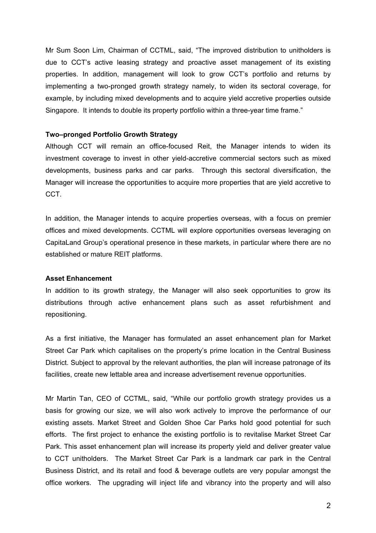Mr Sum Soon Lim, Chairman of CCTML, said, "The improved distribution to unitholders is due to CCT's active leasing strategy and proactive asset management of its existing properties. In addition, management will look to grow CCT's portfolio and returns by implementing a two-pronged growth strategy namely, to widen its sectoral coverage, for example, by including mixed developments and to acquire yield accretive properties outside Singapore. It intends to double its property portfolio within a three-year time frame."

### **Two–pronged Portfolio Growth Strategy**

Although CCT will remain an office-focused Reit, the Manager intends to widen its investment coverage to invest in other yield-accretive commercial sectors such as mixed developments, business parks and car parks. Through this sectoral diversification, the Manager will increase the opportunities to acquire more properties that are yield accretive to CCT.

In addition, the Manager intends to acquire properties overseas, with a focus on premier offices and mixed developments. CCTML will explore opportunities overseas leveraging on CapitaLand Group's operational presence in these markets, in particular where there are no established or mature REIT platforms.

### **Asset Enhancement**

In addition to its growth strategy, the Manager will also seek opportunities to grow its distributions through active enhancement plans such as asset refurbishment and repositioning.

As a first initiative, the Manager has formulated an asset enhancement plan for Market Street Car Park which capitalises on the property's prime location in the Central Business District. Subject to approval by the relevant authorities, the plan will increase patronage of its facilities, create new lettable area and increase advertisement revenue opportunities.

Mr Martin Tan, CEO of CCTML, said, "While our portfolio growth strategy provides us a basis for growing our size, we will also work actively to improve the performance of our existing assets. Market Street and Golden Shoe Car Parks hold good potential for such efforts. The first project to enhance the existing portfolio is to revitalise Market Street Car Park. This asset enhancement plan will increase its property yield and deliver greater value to CCT unitholders. The Market Street Car Park is a landmark car park in the Central Business District, and its retail and food & beverage outlets are very popular amongst the office workers. The upgrading will inject life and vibrancy into the property and will also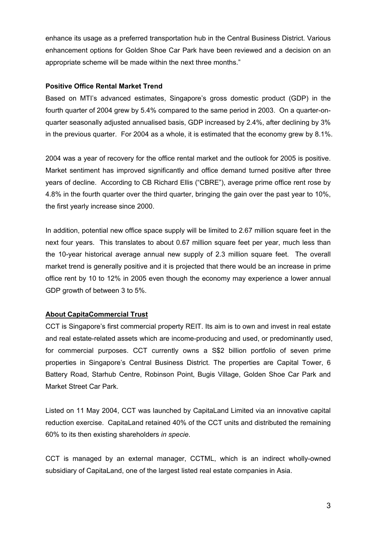enhance its usage as a preferred transportation hub in the Central Business District. Various enhancement options for Golden Shoe Car Park have been reviewed and a decision on an appropriate scheme will be made within the next three months."

# **Positive Office Rental Market Trend**

Based on MTI's advanced estimates, Singapore's gross domestic product (GDP) in the fourth quarter of 2004 grew by 5.4% compared to the same period in 2003. On a quarter-onquarter seasonally adjusted annualised basis, GDP increased by 2.4%, after declining by 3% in the previous quarter. For 2004 as a whole, it is estimated that the economy grew by 8.1%.

2004 was a year of recovery for the office rental market and the outlook for 2005 is positive. Market sentiment has improved significantly and office demand turned positive after three years of decline. According to CB Richard Ellis ("CBRE"), average prime office rent rose by 4.8% in the fourth quarter over the third quarter, bringing the gain over the past year to 10%, the first yearly increase since 2000.

In addition, potential new office space supply will be limited to 2.67 million square feet in the next four years. This translates to about 0.67 million square feet per year, much less than the 10-year historical average annual new supply of 2.3 million square feet. The overall market trend is generally positive and it is projected that there would be an increase in prime office rent by 10 to 12% in 2005 even though the economy may experience a lower annual GDP growth of between 3 to 5%.

# **About CapitaCommercial Trust**

CCT is Singapore's first commercial property REIT. Its aim is to own and invest in real estate and real estate-related assets which are income-producing and used, or predominantly used, for commercial purposes. CCT currently owns a S\$2 billion portfolio of seven prime properties in Singapore's Central Business District. The properties are Capital Tower, 6 Battery Road, Starhub Centre, Robinson Point, Bugis Village, Golden Shoe Car Park and Market Street Car Park.

Listed on 11 May 2004, CCT was launched by CapitaLand Limited via an innovative capital reduction exercise. CapitaLand retained 40% of the CCT units and distributed the remaining 60% to its then existing shareholders *in specie*.

CCT is managed by an external manager, CCTML, which is an indirect wholly-owned subsidiary of CapitaLand, one of the largest listed real estate companies in Asia.